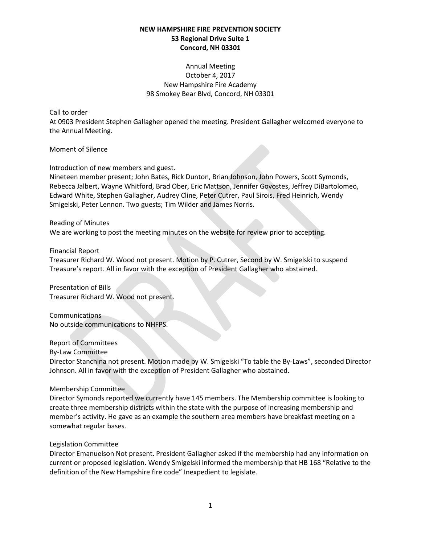# Annual Meeting October 4, 2017 New Hampshire Fire Academy 98 Smokey Bear Blvd, Concord, NH 03301

### Call to order

At 0903 President Stephen Gallagher opened the meeting. President Gallagher welcomed everyone to the Annual Meeting.

Moment of Silence

Introduction of new members and guest.

Nineteen member present; John Bates, Rick Dunton, Brian Johnson, John Powers, Scott Symonds, Rebecca Jalbert, Wayne Whitford, Brad Ober, Eric Mattson, Jennifer Govostes, Jeffrey DiBartolomeo, Edward White, Stephen Gallagher, Audrey Cline, Peter Cutrer, Paul Sirois, Fred Heinrich, Wendy Smigelski, Peter Lennon. Two guests; Tim Wilder and James Norris.

Reading of Minutes We are working to post the meeting minutes on the website for review prior to accepting.

#### Financial Report

Treasurer Richard W. Wood not present. Motion by P. Cutrer, Second by W. Smigelski to suspend Treasure's report. All in favor with the exception of President Gallagher who abstained.

Presentation of Bills Treasurer Richard W. Wood not present.

Communications No outside communications to NHFPS.

## Report of Committees

By-Law Committee

Director Stanchina not present. Motion made by W. Smigelski "To table the By-Laws", seconded Director Johnson. All in favor with the exception of President Gallagher who abstained.

#### Membership Committee

Director Symonds reported we currently have 145 members. The Membership committee is looking to create three membership districts within the state with the purpose of increasing membership and member's activity. He gave as an example the southern area members have breakfast meeting on a somewhat regular bases.

#### Legislation Committee

Director Emanuelson Not present. President Gallagher asked if the membership had any information on current or proposed legislation. Wendy Smigelski informed the membership that HB 168 "Relative to the definition of the New Hampshire fire code" Inexpedient to legislate.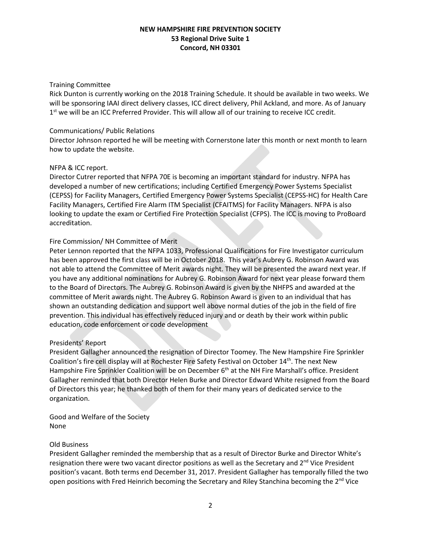## Training Committee

Rick Dunton is currently working on the 2018 Training Schedule. It should be available in two weeks. We will be sponsoring IAAI direct delivery classes, ICC direct delivery, Phil Ackland, and more. As of January 1<sup>st</sup> we will be an ICC Preferred Provider. This will allow all of our training to receive ICC credit.

### Communications/ Public Relations

Director Johnson reported he will be meeting with Cornerstone later this month or next month to learn how to update the website.

### NFPA & ICC report.

Director Cutrer reported that NFPA 70E is becoming an important standard for industry. NFPA has developed a number of new certifications; including Certified Emergency Power Systems Specialist (CEPSS) for Facility Managers, Certified Emergency Power Systems Specialist (CEPSS-HC) for Health Care Facility Managers, Certified Fire Alarm ITM Specialist (CFAITMS) for Facility Managers. NFPA is also looking to update the exam or Certified Fire Protection Specialist (CFPS). The ICC is moving to ProBoard accreditation.

## Fire Commission/ NH Committee of Merit

Peter Lennon reported that the NFPA 1033, Professional Qualifications for Fire Investigator curriculum has been approved the first class will be in October 2018. This year's Aubrey G. Robinson Award was not able to attend the Committee of Merit awards night. They will be presented the award next year. If you have any additional nominations for Aubrey G. Robinson Award for next year please forward them to the Board of Directors. The Aubrey G. Robinson Award is given by the NHFPS and awarded at the committee of Merit awards night. The Aubrey G. Robinson Award is given to an individual that has shown an outstanding dedication and support well above normal duties of the job in the field of fire prevention. This individual has effectively reduced injury and or death by their work within public education, code enforcement or code development

## Presidents' Report

President Gallagher announced the resignation of Director Toomey. The New Hampshire Fire Sprinkler Coalition's fire cell display will at Rochester Fire Safety Festival on October 14<sup>th</sup>. The next New Hampshire Fire Sprinkler Coalition will be on December 6<sup>th</sup> at the NH Fire Marshall's office. President Gallagher reminded that both Director Helen Burke and Director Edward White resigned from the Board of Directors this year; he thanked both of them for their many years of dedicated service to the organization.

Good and Welfare of the Society None

## Old Business

President Gallagher reminded the membership that as a result of Director Burke and Director White's resignation there were two vacant director positions as well as the Secretary and  $2<sup>nd</sup>$  Vice President position's vacant. Both terms end December 31, 2017. President Gallagher has temporally filled the two open positions with Fred Heinrich becoming the Secretary and Riley Stanchina becoming the 2<sup>nd</sup> Vice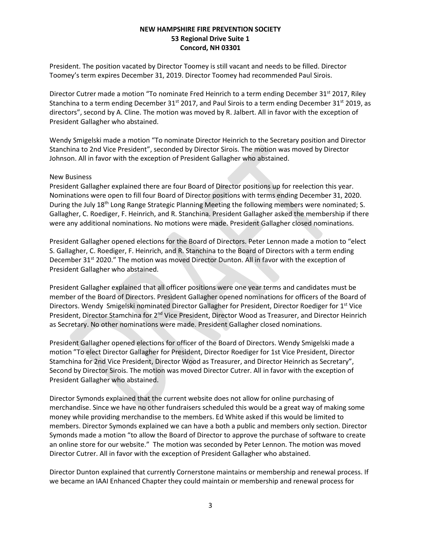President. The position vacated by Director Toomey is still vacant and needs to be filled. Director Toomey's term expires December 31, 2019. Director Toomey had recommended Paul Sirois.

Director Cutrer made a motion "To nominate Fred Heinrich to a term ending December 31<sup>st</sup> 2017, Riley Stanchina to a term ending December 31<sup>st</sup> 2017, and Paul Sirois to a term ending December 31<sup>st</sup> 2019, as directors", second by A. Cline. The motion was moved by R. Jalbert. All in favor with the exception of President Gallagher who abstained.

Wendy Smigelski made a motion "To nominate Director Heinrich to the Secretary position and Director Stanchina to 2nd Vice President", seconded by Director Sirois. The motion was moved by Director Johnson. All in favor with the exception of President Gallagher who abstained.

### New Business

President Gallagher explained there are four Board of Director positions up for reelection this year. Nominations were open to fill four Board of Director positions with terms ending December 31, 2020. During the July 18<sup>th</sup> Long Range Strategic Planning Meeting the following members were nominated; S. Gallagher, C. Roediger, F. Heinrich, and R. Stanchina. President Gallagher asked the membership if there were any additional nominations. No motions were made. President Gallagher closed nominations.

President Gallagher opened elections for the Board of Directors. Peter Lennon made a motion to "elect S. Gallagher, C. Roediger, F. Heinrich, and R. Stanchina to the Board of Directors with a term ending December 31<sup>st</sup> 2020." The motion was moved Director Dunton. All in favor with the exception of President Gallagher who abstained.

President Gallagher explained that all officer positions were one year terms and candidates must be member of the Board of Directors. President Gallagher opened nominations for officers of the Board of Directors. Wendy Smigelski nominated Director Gallagher for President, Director Roediger for 1st Vice President, Director Stamchina for 2<sup>nd</sup> Vice President, Director Wood as Treasurer, and Director Heinrich as Secretary. No other nominations were made. President Gallagher closed nominations.

President Gallagher opened elections for officer of the Board of Directors. Wendy Smigelski made a motion "To elect Director Gallagher for President, Director Roediger for 1st Vice President, Director Stamchina for 2nd Vice President, Director Wood as Treasurer, and Director Heinrich as Secretary", Second by Director Sirois. The motion was moved Director Cutrer. All in favor with the exception of President Gallagher who abstained.

Director Symonds explained that the current website does not allow for online purchasing of merchandise. Since we have no other fundraisers scheduled this would be a great way of making some money while providing merchandise to the members. Ed White asked if this would be limited to members. Director Symonds explained we can have a both a public and members only section. Director Symonds made a motion "to allow the Board of Director to approve the purchase of software to create an online store for our website." The motion was seconded by Peter Lennon. The motion was moved Director Cutrer. All in favor with the exception of President Gallagher who abstained.

Director Dunton explained that currently Cornerstone maintains or membership and renewal process. If we became an IAAI Enhanced Chapter they could maintain or membership and renewal process for